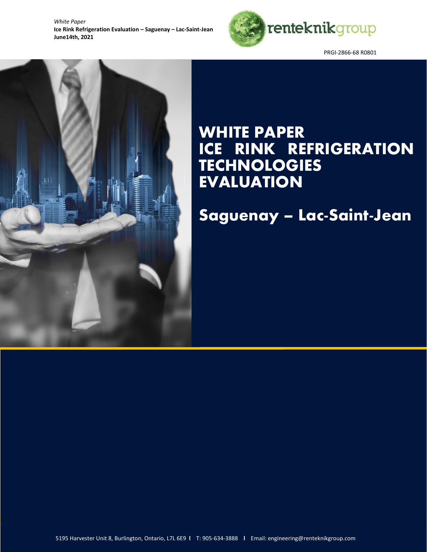

PRGI-2866-68 R0801

# ÈF

# WHITE PAPER ICE RINK REFRIGERATION TECHNOLOGIES **EVALUATION**

Saguenay – Lac-Saint-Jean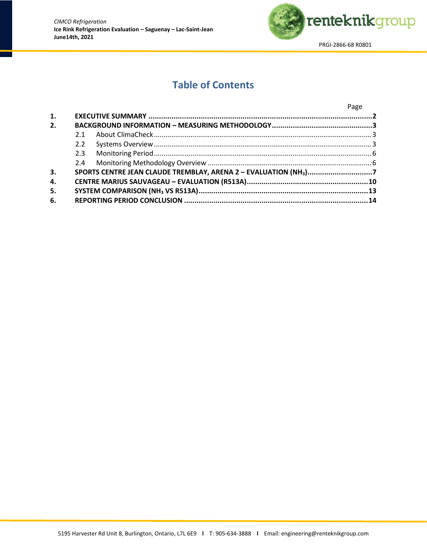

## **Table of Contents**

|    |     |                                                                 | Page |
|----|-----|-----------------------------------------------------------------|------|
| 1. |     |                                                                 |      |
| 2. |     |                                                                 |      |
|    | 2.1 |                                                                 |      |
|    |     |                                                                 |      |
|    |     |                                                                 |      |
|    |     |                                                                 |      |
| 3. |     | SPORTS CENTRE JEAN CLAUDE TREMBLAY, ARENA 2 - EVALUATION (NH3)7 |      |
| 4. |     |                                                                 |      |
| 5. |     |                                                                 |      |
| 6. |     |                                                                 |      |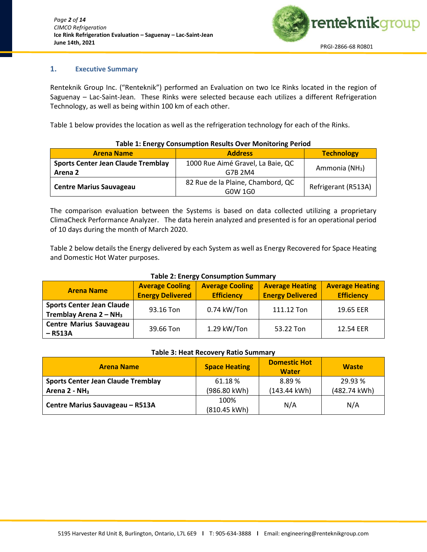

### <span id="page-2-0"></span>**1. Executive Summary**

Renteknik Group Inc. ("Renteknik") performed an Evaluation on two Ice Rinks located in the region of Saguenay – Lac-Saint-Jean. These Rinks were selected because each utilizes a different Refrigeration Technology, as well as being within 100 km of each other.

Table 1 below provides the location as well as the refrigeration technology for each of the Rinks.

| Table 1: Energy Consumption Results Over Monitoring Period |                                              |                            |  |  |
|------------------------------------------------------------|----------------------------------------------|----------------------------|--|--|
| <b>Arena Name</b>                                          | <b>Address</b>                               | <b>Technology</b>          |  |  |
| <b>Sports Center Jean Claude Tremblay</b><br>Arena 2       | 1000 Rue Aimé Gravel, La Baie, QC<br>G7B 2M4 | Ammonia (NH <sub>3</sub> ) |  |  |
| <b>Centre Marius Sauvageau</b>                             | 82 Rue de la Plaine, Chambord, QC<br>G0W 1G0 | Refrigerant (R513A)        |  |  |

### **Table 1: Energy Consumption Results Over Monitoring Period**

The comparison evaluation between the Systems is based on data collected utilizing a proprietary ClimaCheck Performance Analyzer. The data herein analyzed and presented is for an operational period of 10 days during the month of March 2020.

Table 2 below details the Energy delivered by each System as well as Energy Recovered for Space Heating and Domestic Hot Water purposes.

### **Table 2: Energy Consumption Summary**

| <b>Arena Name</b>                                             | <b>Average Cooling</b><br><b>Energy Delivered</b> | <b>Average Cooling</b><br><b>Efficiency</b> | <b>Average Heating</b><br><b>Energy Delivered</b> | <b>Average Heating</b><br><b>Efficiency</b> |
|---------------------------------------------------------------|---------------------------------------------------|---------------------------------------------|---------------------------------------------------|---------------------------------------------|
| <b>Sports Center Jean Claude</b><br>Tremblay Arena $2 - NH_3$ | 93.16 Ton                                         | 0.74 kW/Ton                                 | 111.12 Ton                                        | 19.65 EER                                   |
| <b>Centre Marius Sauvageau</b><br>– R513A                     | 39.66 Ton                                         | 1.29 kW/Ton                                 | 53.22 Ton                                         | 12.54 EER                                   |

### **Table 3: Heat Recovery Ratio Summary**

| <b>Arena Name</b>                         | <b>Space Heating</b> | <b>Domestic Hot</b><br><b>Water</b> | <b>Waste</b> |
|-------------------------------------------|----------------------|-------------------------------------|--------------|
| <b>Sports Center Jean Claude Tremblay</b> | 61.18%               | 8.89%                               | 29.93 %      |
| Arena $2 - NH3$                           | (986.80 kWh)         | (143.44 kWh)                        | (482.74 kWh) |
| Centre Marius Sauvageau - R513A           | 100%<br>(810.45 kWh) | N/A                                 | N/A          |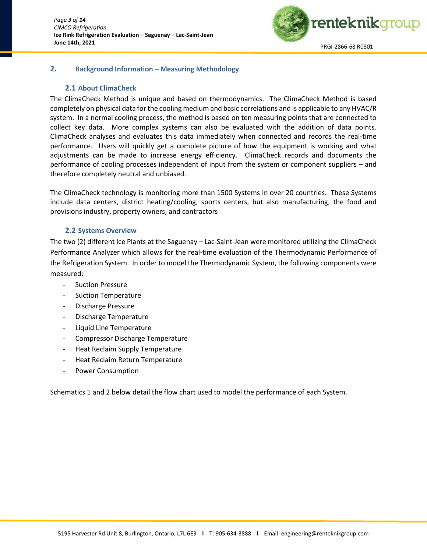

### <span id="page-3-0"></span>**2. Background Information – Measuring Methodology**

### **2.1 About ClimaCheck**

<span id="page-3-1"></span>The ClimaCheck Method is unique and based on thermodynamics. The ClimaCheck Method is based completely on physical data for the cooling medium and basic correlations and is applicable to any HVAC/R system. In a normal cooling process, the method is based on ten measuring points that are connected to collect key data. More complex systems can also be evaluated with the addition of data points. ClimaCheck analyses and evaluates this data immediately when connected and records the real-time performance. Users will quickly get a complete picture of how the equipment is working and what adjustments can be made to increase energy efficiency. ClimaCheck records and documents the performance of cooling processes independent of input from the system or component suppliers – and therefore completely neutral and unbiased.

The ClimaCheck technology is monitoring more than 1500 Systems in over 20 countries. These Systems include data centers, district heating/cooling, sports centers, but also manufacturing, the food and provisions industry, property owners, and contractors

### **2.2 Systems Overview**

<span id="page-3-2"></span>The two (2) different Ice Plants at the Saguenay – Lac-Saint-Jean were monitored utilizing the ClimaCheck Performance Analyzer which allows for the real-time evaluation of the Thermodynamic Performance of the Refrigeration System. In order to model the Thermodynamic System, the following components were measured:

- Suction Pressure
- Suction Temperature
- Discharge Pressure
- Discharge Temperature
- Liquid Line Temperature
- Compressor Discharge Temperature
- Heat Reclaim Supply Temperature
- Heat Reclaim Return Temperature
- Power Consumption

Schematics 1 and 2 below detail the flow chart used to model the performance of each System.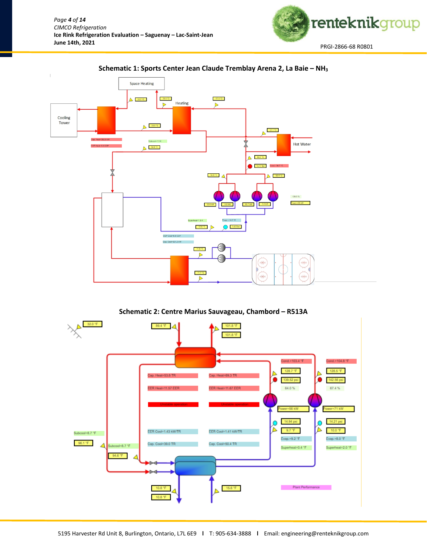



### **Schematic 1: Sports Center Jean Claude Tremblay Arena 2, La Baie – NH<sup>3</sup>**



 $-15.6~^{\circ}\text{F}$  .

Plant Performance

 $\sim 10$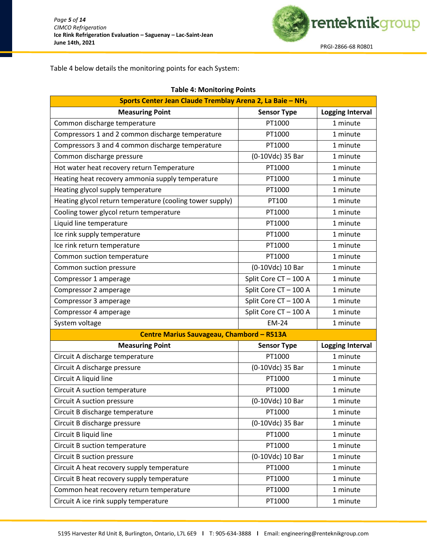

Table 4 below details the monitoring points for each System:

| Sports Center Jean Claude Tremblay Arena 2, La Baie - NH <sub>3</sub>   |                                           |                         |  |  |  |  |
|-------------------------------------------------------------------------|-------------------------------------------|-------------------------|--|--|--|--|
| <b>Measuring Point</b><br><b>Logging Interval</b><br><b>Sensor Type</b> |                                           |                         |  |  |  |  |
| Common discharge temperature                                            | PT1000                                    | 1 minute                |  |  |  |  |
| Compressors 1 and 2 common discharge temperature                        | PT1000                                    | 1 minute                |  |  |  |  |
| Compressors 3 and 4 common discharge temperature                        | PT1000                                    | 1 minute                |  |  |  |  |
| Common discharge pressure                                               | (0-10Vdc) 35 Bar                          | 1 minute                |  |  |  |  |
| Hot water heat recovery return Temperature                              | PT1000                                    | 1 minute                |  |  |  |  |
| Heating heat recovery ammonia supply temperature                        | PT1000                                    | 1 minute                |  |  |  |  |
| Heating glycol supply temperature                                       | PT1000                                    | 1 minute                |  |  |  |  |
| Heating glycol return temperature (cooling tower supply)                | PT100                                     | 1 minute                |  |  |  |  |
| Cooling tower glycol return temperature                                 | PT1000                                    | 1 minute                |  |  |  |  |
| Liquid line temperature                                                 | PT1000                                    | 1 minute                |  |  |  |  |
| Ice rink supply temperature                                             | PT1000                                    | 1 minute                |  |  |  |  |
| Ice rink return temperature                                             | PT1000                                    | 1 minute                |  |  |  |  |
| Common suction temperature                                              | PT1000                                    | 1 minute                |  |  |  |  |
| Common suction pressure                                                 | (0-10Vdc) 10 Bar                          | 1 minute                |  |  |  |  |
| Compressor 1 amperage                                                   | Split Core CT-100 A                       | 1 minute                |  |  |  |  |
| Compressor 2 amperage                                                   | Split Core CT-100 A                       | 1 minute                |  |  |  |  |
| Compressor 3 amperage                                                   | Split Core CT-100 A                       | 1 minute                |  |  |  |  |
| Compressor 4 amperage                                                   | Split Core CT-100 A                       | 1 minute                |  |  |  |  |
| System voltage                                                          | <b>EM-24</b>                              | 1 minute                |  |  |  |  |
|                                                                         | Centre Marius Sauvageau, Chambord - R513A |                         |  |  |  |  |
| <b>Measuring Point</b>                                                  | <b>Sensor Type</b>                        | <b>Logging Interval</b> |  |  |  |  |
| Circuit A discharge temperature                                         | PT1000                                    | 1 minute                |  |  |  |  |
| Circuit A discharge pressure                                            | (0-10Vdc) 35 Bar                          | 1 minute                |  |  |  |  |
| Circuit A liquid line                                                   | PT1000                                    | 1 minute                |  |  |  |  |
| Circuit A suction temperature                                           | PT1000                                    | 1 minute                |  |  |  |  |
| Circuit A suction pressure                                              | (0-10Vdc) 10 Bar                          | 1 minute                |  |  |  |  |
| Circuit B discharge temperature                                         | PT1000                                    | 1 minute                |  |  |  |  |
| Circuit B discharge pressure                                            | (0-10Vdc) 35 Bar                          | 1 minute                |  |  |  |  |
| Circuit B liquid line                                                   | PT1000                                    | 1 minute                |  |  |  |  |
| Circuit B suction temperature                                           | PT1000                                    | 1 minute                |  |  |  |  |
| Circuit B suction pressure                                              | (0-10Vdc) 10 Bar                          | 1 minute                |  |  |  |  |
| Circuit A heat recovery supply temperature                              | PT1000                                    | 1 minute                |  |  |  |  |
| Circuit B heat recovery supply temperature                              | PT1000                                    | 1 minute                |  |  |  |  |
| Common heat recovery return temperature                                 | PT1000                                    | 1 minute                |  |  |  |  |
| Circuit A ice rink supply temperature                                   | PT1000                                    | 1 minute                |  |  |  |  |

### **Table 4: Monitoring Points**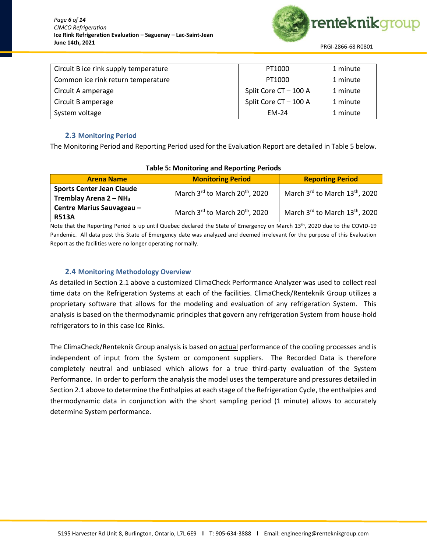

| Circuit B ice rink supply temperature | PT1000                | 1 minute |
|---------------------------------------|-----------------------|----------|
| Common ice rink return temperature    | PT1000                | 1 minute |
| Circuit A amperage                    | Split Core CT - 100 A | 1 minute |
| Circuit B amperage                    | Split Core CT - 100 A | 1 minute |
| System voltage                        | <b>EM-24</b>          | 1 minute |
|                                       |                       |          |

### **2.3 Monitoring Period**

<span id="page-6-0"></span>The Monitoring Period and Reporting Period used for the Evaluation Report are detailed in Table 5 below.

| <b>Arena Name</b>                                            | <b>Monitoring Period</b>                   | <b>Reporting Period</b>       |  |  |
|--------------------------------------------------------------|--------------------------------------------|-------------------------------|--|--|
| <b>Sports Center Jean Claude</b><br>Tremblay Arena $2 - NH3$ | March 3rd to March 20 <sup>th</sup> , 2020 | March 3rd to March 13th, 2020 |  |  |
| Centre Marius Sauvageau -<br><b>R513A</b>                    | March 3rd to March 20 <sup>th</sup> , 2020 | March 3rd to March 13th, 2020 |  |  |

### **Table 5: Monitoring and Reporting Periods**

Note that the Reporting Period is up until Quebec declared the State of Emergency on March 13th, 2020 due to the COVID-19 Pandemic. All data post this State of Emergency date was analyzed and deemed irrelevant for the purpose of this Evaluation Report as the facilities were no longer operating normally.

### **2.4 Monitoring Methodology Overview**

<span id="page-6-1"></span>As detailed in Section 2.1 above a customized ClimaCheck Performance Analyzer was used to collect real time data on the Refrigeration Systems at each of the facilities. ClimaCheck/Renteknik Group utilizes a proprietary software that allows for the modeling and evaluation of any refrigeration System. This analysis is based on the thermodynamic principles that govern any refrigeration System from house-hold refrigerators to in this case Ice Rinks.

The ClimaCheck/Renteknik Group analysis is based on actual performance of the cooling processes and is independent of input from the System or component suppliers. The Recorded Data is therefore completely neutral and unbiased which allows for a true third-party evaluation of the System Performance. In order to perform the analysis the model uses the temperature and pressures detailed in Section 2.1 above to determine the Enthalpies at each stage of the Refrigeration Cycle, the enthalpies and thermodynamic data in conjunction with the short sampling period (1 minute) allows to accurately determine System performance.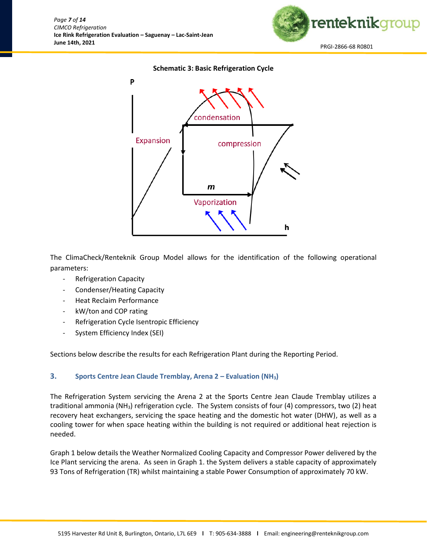

### **Schematic 3: Basic Refrigeration Cycle**



The ClimaCheck/Renteknik Group Model allows for the identification of the following operational parameters:

- Refrigeration Capacity
- Condenser/Heating Capacity
- Heat Reclaim Performance
- kW/ton and COP rating
- Refrigeration Cycle Isentropic Efficiency
- System Efficiency Index (SEI)

Sections below describe the results for each Refrigeration Plant during the Reporting Period.

### <span id="page-7-0"></span>**3. Sports Centre Jean Claude Tremblay, Arena 2 – Evaluation (NH3)**

The Refrigeration System servicing the Arena 2 at the Sports Centre Jean Claude Tremblay utilizes a traditional ammonia (NH3) refrigeration cycle. The System consists of four (4) compressors, two (2) heat recovery heat exchangers, servicing the space heating and the domestic hot water (DHW), as well as a cooling tower for when space heating within the building is not required or additional heat rejection is needed.

Graph 1 below details the Weather Normalized Cooling Capacity and Compressor Power delivered by the Ice Plant servicing the arena. As seen in Graph 1. the System delivers a stable capacity of approximately 93 Tons of Refrigeration (TR) whilst maintaining a stable Power Consumption of approximately 70 kW.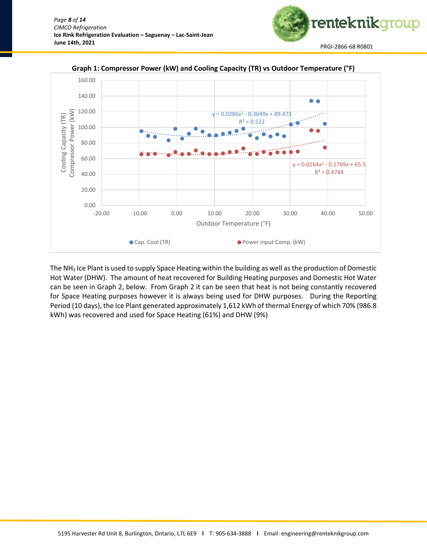



**Graph 1: Compressor Power (kW) and Cooling Capacity (TR) vs Outdoor Temperature (°F)**

The NH<sup>3</sup> Ice Plant is used to supply Space Heating within the building as well as the production of Domestic Hot Water (DHW). The amount of heat recovered for Building Heating purposes and Domestic Hot Water can be seen in Graph 2, below. From Graph 2 it can be seen that heat is not being constantly recovered for Space Heating purposes however it is always being used for DHW purposes. During the Reporting Period (10 days), the Ice Plant generated approximately 1,612 kWh of thermal Energy of which 70% (986.8 kWh) was recovered and used for Space Heating (61%) and DHW (9%)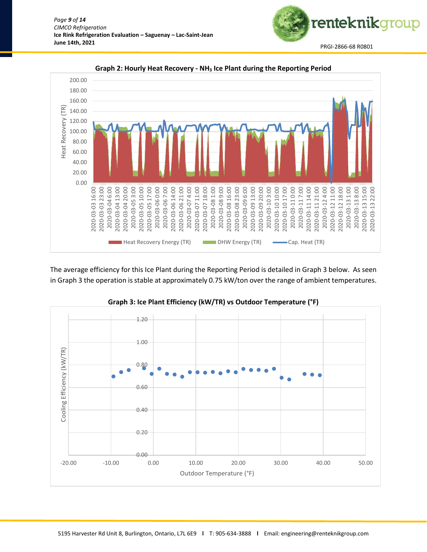



renteknikgroup

The average efficiency for this Ice Plant during the Reporting Period is detailed in Graph 3 below. As seen in Graph 3 the operation is stable at approximately 0.75 kW/ton over the range of ambient temperatures.

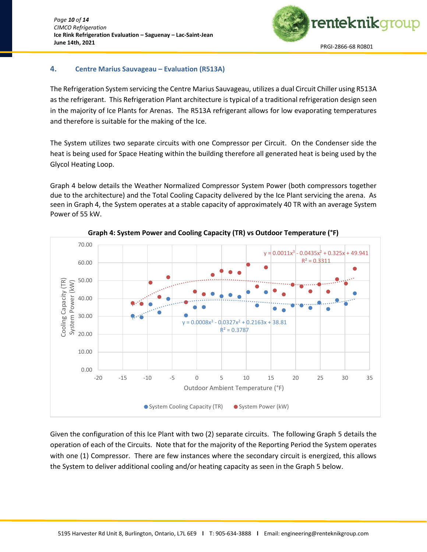

### <span id="page-10-0"></span>**4. Centre Marius Sauvageau – Evaluation (R513A)**

The Refrigeration System servicing the Centre Marius Sauvageau, utilizes a dual Circuit Chiller using R513A as the refrigerant. This Refrigeration Plant architecture is typical of a traditional refrigeration design seen in the majority of Ice Plants for Arenas. The R513A refrigerant allows for low evaporating temperatures and therefore is suitable for the making of the Ice.

The System utilizes two separate circuits with one Compressor per Circuit. On the Condenser side the heat is being used for Space Heating within the building therefore all generated heat is being used by the Glycol Heating Loop.

Graph 4 below details the Weather Normalized Compressor System Power (both compressors together due to the architecture) and the Total Cooling Capacity delivered by the Ice Plant servicing the arena. As seen in Graph 4, the System operates at a stable capacity of approximately 40 TR with an average System Power of 55 kW.



**Graph 4: System Power and Cooling Capacity (TR) vs Outdoor Temperature (°F)**

Given the configuration of this Ice Plant with two (2) separate circuits. The following Graph 5 details the operation of each of the Circuits. Note that for the majority of the Reporting Period the System operates with one (1) Compressor. There are few instances where the secondary circuit is energized, this allows the System to deliver additional cooling and/or heating capacity as seen in the Graph 5 below.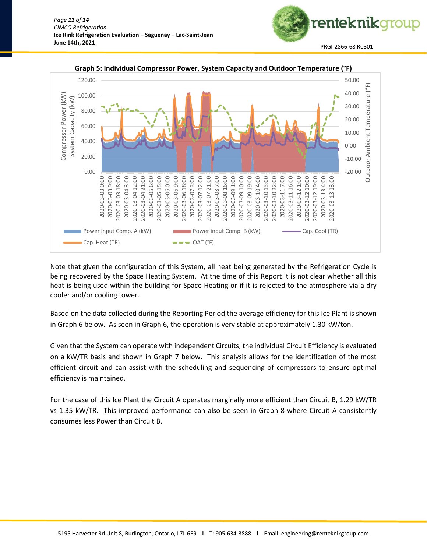



### **Graph 5: Individual Compressor Power, System Capacity and Outdoor Temperature (°F)**

Note that given the configuration of this System, all heat being generated by the Refrigeration Cycle is being recovered by the Space Heating System. At the time of this Report it is not clear whether all this heat is being used within the building for Space Heating or if it is rejected to the atmosphere via a dry cooler and/or cooling tower.

Based on the data collected during the Reporting Period the average efficiency for this Ice Plant is shown in Graph 6 below. As seen in Graph 6, the operation is very stable at approximately 1.30 kW/ton.

Given that the System can operate with independent Circuits, the individual Circuit Efficiency is evaluated on a kW/TR basis and shown in Graph 7 below. This analysis allows for the identification of the most efficient circuit and can assist with the scheduling and sequencing of compressors to ensure optimal efficiency is maintained.

For the case of this Ice Plant the Circuit A operates marginally more efficient than Circuit B, 1.29 kW/TR vs 1.35 kW/TR. This improved performance can also be seen in Graph 8 where Circuit A consistently consumes less Power than Circuit B.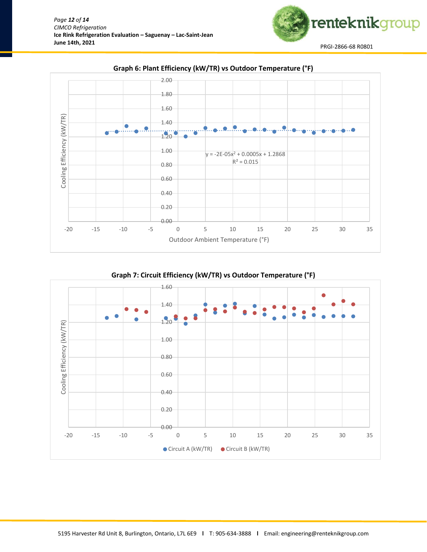

**Graph 6: Plant Efficiency (kW/TR) vs Outdoor Temperature (°F)**

renteknikgroup

**Graph 7: Circuit Efficiency (kW/TR) vs Outdoor Temperature (°F)**

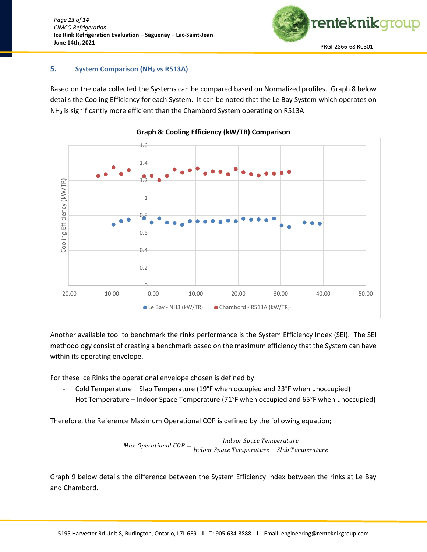

### <span id="page-13-0"></span>**5. System Comparison (NH<sup>3</sup> vs R513A)**

Based on the data collected the Systems can be compared based on Normalized profiles. Graph 8 below details the Cooling Efficiency for each System. It can be noted that the Le Bay System which operates on NH<sup>3</sup> is significantly more efficient than the Chambord System operating on R513A





Another available tool to benchmark the rinks performance is the System Efficiency Index (SEI). The SEI methodology consist of creating a benchmark based on the maximum efficiency that the System can have within its operating envelope.

For these Ice Rinks the operational envelope chosen is defined by:

- Cold Temperature Slab Temperature (19°F when occupied and 23°F when unoccupied)
- Hot Temperature Indoor Space Temperature (71°F when occupied and 65°F when unoccupied)

Therefore, the Reference Maximum Operational COP is defined by the following equation;

 $Max$  Operational  $COP =$ **Indoor Space Temperature** Indoor Space Temperature - Slab Temperature

Graph 9 below details the difference between the System Efficiency Index between the rinks at Le Bay and Chambord.